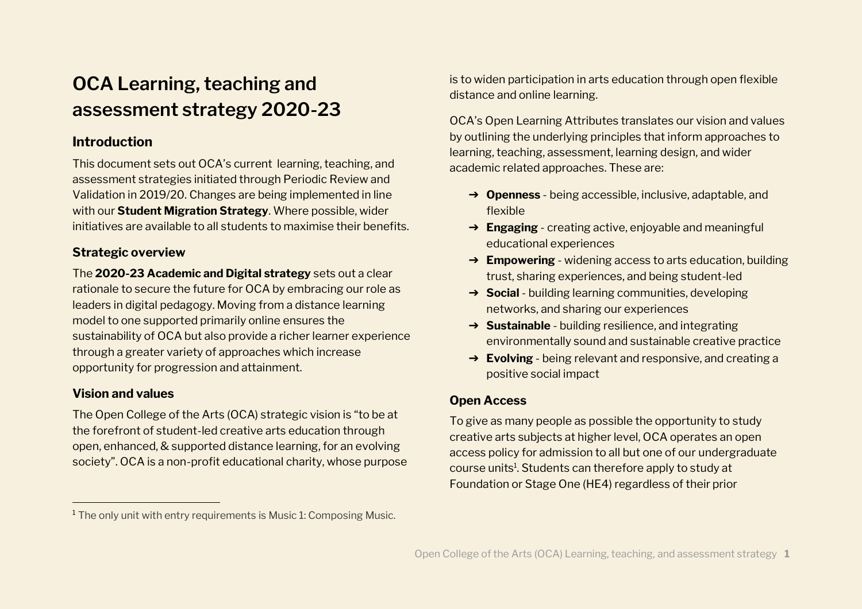# **OCA Learning, teaching and assessment strategy 2020-23**

# **Introduction**

This document sets out OCA's current learning, teaching, and assessment strategies initiated through Periodic Review and Validation in 2019/20. Changes are being implemented in line with our **Student Migration Strategy**. Where possible, wider initiatives are available to all students to maximise their benefits.

# **Strategic overview**

The **2020-23 Academic and Digital strategy** sets out a clear rationale to secure the future for OCA by embracing our role as leaders in digital pedagogy. Moving from a distance learning model to one supported primarily online ensures the sustainability of OCA but also provide a richer learner experience through a greater variety of approaches which increase opportunity for progression and attainment.

## **Vision and values**

The Open College of the Arts (OCA) strategic vision is "to be at the forefront of student-led creative arts education through open, enhanced, & supported distance learning, for an evolving society". OCA is a non-profit educational charity, whose purpose is to widen participation in arts education through open flexible distance and online learning.

OCA's Open Learning Attributes translates our vision and values by outlining the underlying principles that inform approaches to learning, teaching, assessment, learning design, and wider academic related approaches. These are:

- ➔ **Openness** being accessible, inclusive, adaptable, and flexible
- ➔ **Engaging** creating active, enjoyable and meaningful educational experiences
- ➔ **Empowering** widening access to arts education, building trust, sharing experiences, and being student-led
- ➔ **Social** building learning communities, developing networks, and sharing our experiences
- ➔ **Sustainable** building resilience, and integrating environmentally sound and sustainable creative practice
- ➔ **Evolving** being relevant and responsive, and creating a positive social impact

# **Open Access**

To give as many people as possible the opportunity to study creative arts subjects at higher level, OCA operates an open access policy for admission to all but one of our undergraduate course units<sup>1</sup>. Students can therefore apply to study at Foundation or Stage One (HE4) regardless of their prior

<sup>&</sup>lt;sup>1</sup> The only unit with entry requirements is Music 1: Composing Music.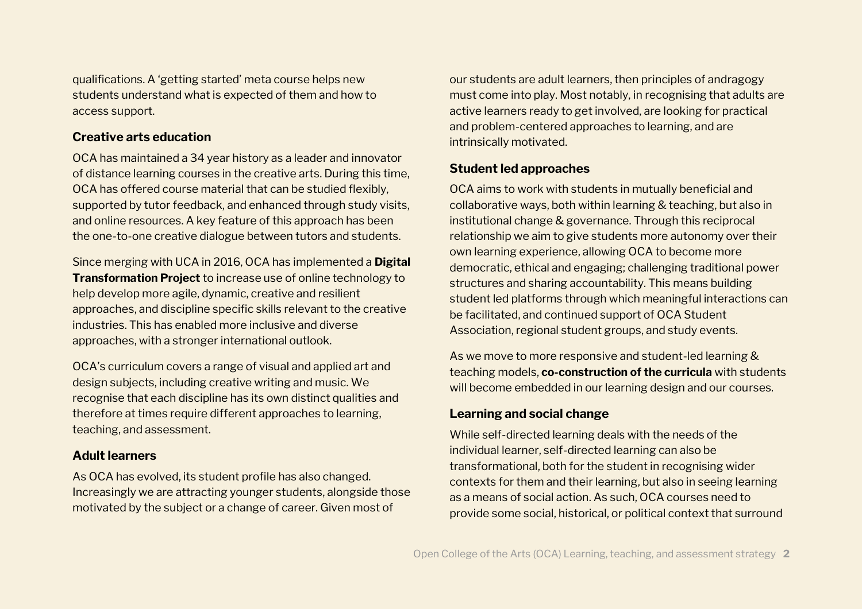qualifications. A 'getting started' meta course helps new students understand what is expected of them and how to access support.

#### **Creative arts education**

OCA has maintained a 34 year history as a leader and innovator of distance learning courses in the creative arts. During this time, OCA has offered course material that can be studied flexibly, supported by tutor feedback, and enhanced through study visits, and online resources. A key feature of this approach has been the one-to-one creative dialogue between tutors and students.

Since merging with UCA in 2016, OCA has implemented a **Digital Transformation Project** to increase use of online technology to help develop more agile, dynamic, creative and resilient approaches, and discipline specific skills relevant to the creative industries. This has enabled more inclusive and diverse approaches, with a stronger international outlook.

OCA's curriculum covers a range of visual and applied art and design subjects, including creative writing and music. We recognise that each discipline has its own distinct qualities and therefore at times require different approaches to learning, teaching, and assessment.

#### **Adult learners**

As OCA has evolved, its student profile has also changed. Increasingly we are attracting younger students, alongside those motivated by the subject or a change of career. Given most of

our students are adult learners, then principles of andragogy must come into play. Most notably, in recognising that adults are active learners ready to get involved, are looking for practical and problem-centered approaches to learning, and are intrinsically motivated.

## **Student led approaches**

OCA aims to work with students in mutually beneficial and collaborative ways, both within learning & teaching, but also in institutional change & governance. Through this reciprocal relationship we aim to give students more autonomy over their own learning experience, allowing OCA to become more democratic, ethical and engaging; challenging traditional power structures and sharing accountability. This means building student led platforms through which meaningful interactions can be facilitated, and continued support of OCA Student Association, regional student groups, and study events.

As we move to more responsive and student-led learning & teaching models, **co-construction of the curricula** with students will become embedded in our learning design and our courses.

#### **Learning and social change**

While self-directed learning deals with the needs of the individual learner, self-directed learning can also be transformational, both for the student in recognising wider contexts for them and their learning, but also in seeing learning as a means of social action. As such, OCA courses need to provide some social, historical, or political context that surround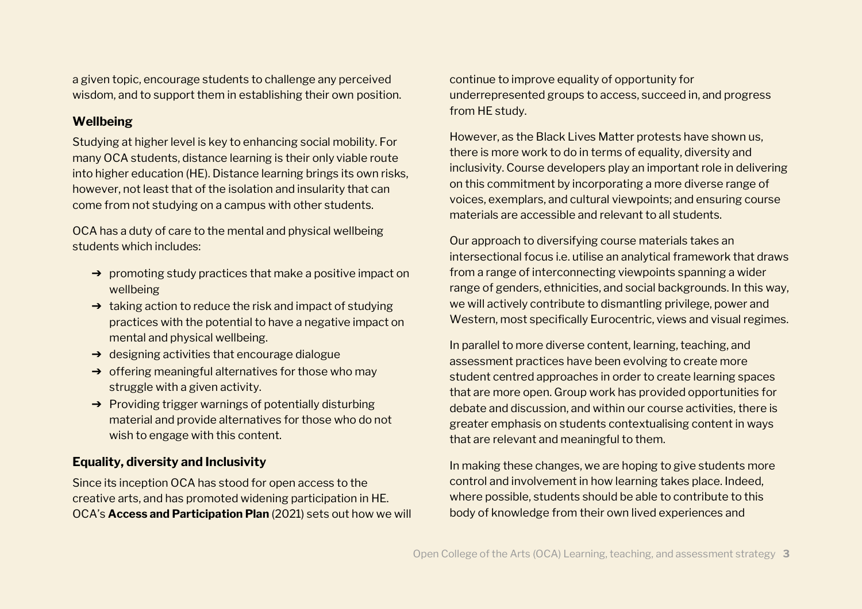a given topic, encourage students to challenge any perceived wisdom, and to support them in establishing their own position.

## **Wellbeing**

Studying at higher level is key to enhancing social mobility. For many OCA students, distance learning is their only viable route into higher education (HE). Distance learning brings its own risks, however, not least that of the isolation and insularity that can come from not studying on a campus with other students.

OCA has a duty of care to the mental and physical wellbeing students which includes:

- $\rightarrow$  promoting study practices that make a positive impact on wellbeing
- ➔ taking action to reduce the risk and impact of studying practices with the potential to have a negative impact on mental and physical wellbeing.
- ➔ designing activities that encourage dialogue
- $\rightarrow$  offering meaningful alternatives for those who may struggle with a given activity.
- ➔ Providing trigger warnings of potentially disturbing material and provide alternatives for those who do not wish to engage with this content.

# **Equality, diversity and Inclusivity**

Since its inception OCA has stood for open access to the creative arts, and has promoted widening participation in HE. OCA's **Access and Participation Plan** (2021) sets out how we will

continue to improve equality of opportunity for underrepresented groups to access, succeed in, and progress from HE study.

However, as the Black Lives Matter protests have shown us, there is more work to do in terms of equality, diversity and inclusivity. Course developers play an important role in delivering on this commitment by incorporating a more diverse range of voices, exemplars, and cultural viewpoints; and ensuring course materials are accessible and relevant to all students.

Our approach to diversifying course materials takes an intersectional focus i.e. utilise an analytical framework that draws from a range of interconnecting viewpoints spanning a wider range of genders, ethnicities, and social backgrounds. In this way, we will actively contribute to dismantling privilege, power and Western, most specifically Eurocentric, views and visual regimes.

In parallel to more diverse content, learning, teaching, and assessment practices have been evolving to create more student centred approaches in order to create learning spaces that are more open. Group work has provided opportunities for debate and discussion, and within our course activities, there is greater emphasis on students contextualising content in ways that are relevant and meaningful to them.

In making these changes, we are hoping to give students more control and involvement in how learning takes place. Indeed, where possible, students should be able to contribute to this body of knowledge from their own lived experiences and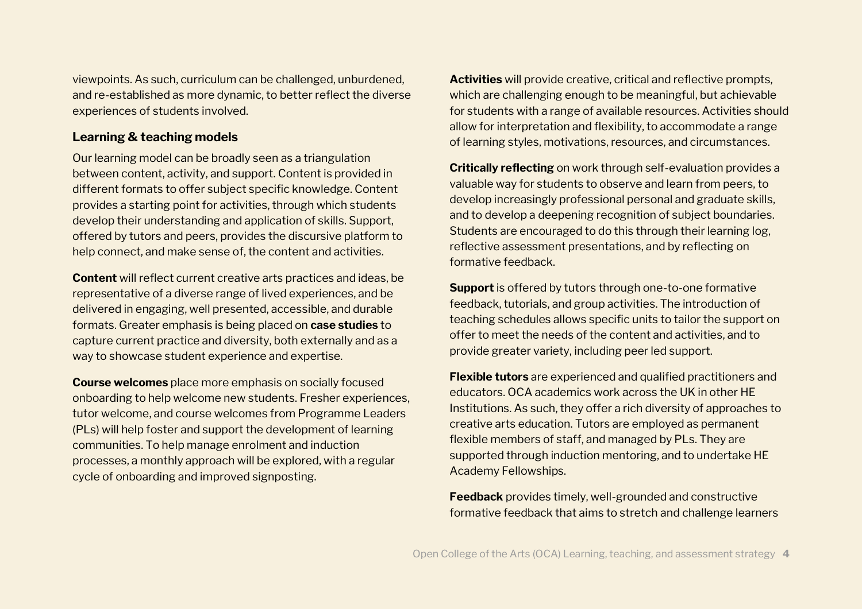viewpoints. As such, curriculum can be challenged, unburdened, and re-established as more dynamic, to better reflect the diverse experiences of students involved.

#### **Learning & teaching models**

Our learning model can be broadly seen as a triangulation between content, activity, and support. Content is provided in different formats to offer subject specific knowledge. Content provides a starting point for activities, through which students develop their understanding and application of skills. Support, offered by tutors and peers, provides the discursive platform to help connect, and make sense of, the content and activities.

**Content** will reflect current creative arts practices and ideas, be representative of a diverse range of lived experiences, and be delivered in engaging, well presented, accessible, and durable formats. Greater emphasis is being placed on **case studies** to capture current practice and diversity, both externally and as a way to showcase student experience and expertise.

**Course welcomes** place more emphasis on socially focused onboarding to help welcome new students. Fresher experiences, tutor welcome, and course welcomes from Programme Leaders (PLs) will help foster and support the development of learning communities. To help manage enrolment and induction processes, a monthly approach will be explored, with a regular cycle of onboarding and improved signposting.

**Activities** will provide creative, critical and reflective prompts, which are challenging enough to be meaningful, but achievable for students with a range of available resources. Activities should allow for interpretation and flexibility, to accommodate a range of learning styles, motivations, resources, and circumstances.

**Critically reflecting** on work through self-evaluation provides a valuable way for students to observe and learn from peers, to develop increasingly professional personal and graduate skills, and to develop a deepening recognition of subject boundaries. Students are encouraged to do this through their learning log, reflective assessment presentations, and by reflecting on formative feedback.

**Support** is offered by tutors through one-to-one formative feedback, tutorials, and group activities. The introduction of teaching schedules allows specific units to tailor the support on offer to meet the needs of the content and activities, and to provide greater variety, including peer led support.

**Flexible tutors** are experienced and qualified practitioners and educators. OCA academics work across the UK in other HE Institutions. As such, they offer a rich diversity of approaches to creative arts education. Tutors are employed as permanent flexible members of staff, and managed by PLs. They are supported through induction mentoring, and to undertake HE Academy Fellowships.

**Feedback** provides timely, well-grounded and constructive formative feedback that aims to stretch and challenge learners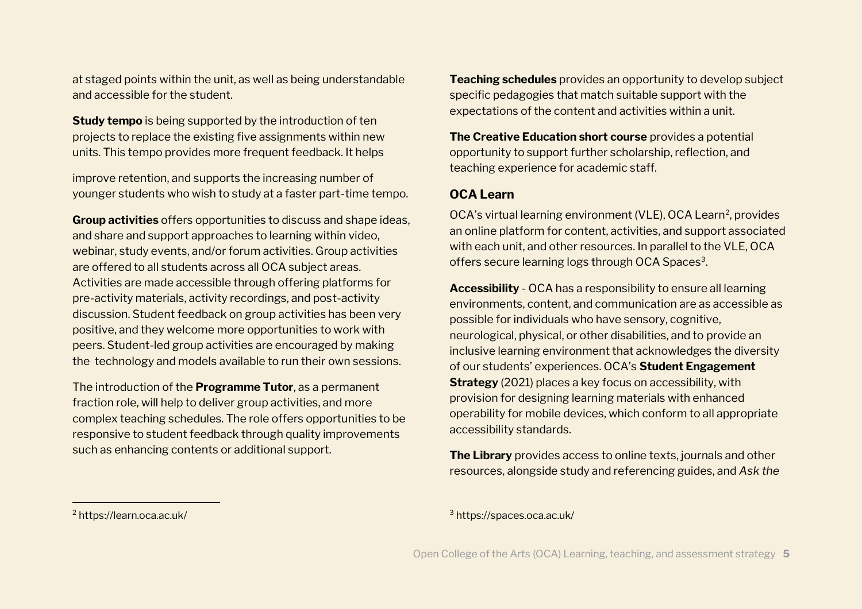at staged points within the unit, as well as being understandable and accessible for the student.

**Study tempo** is being supported by the introduction of ten projects to replace the existing five assignments within new units. This tempo provides more frequent feedback. It helps

improve retention, and supports the increasing number of younger students who wish to study at a faster part-time tempo.

**Group activities** offers opportunities to discuss and shape ideas, and share and support approaches to learning within video, webinar, study events, and/or forum activities. Group activities are offered to all students across all OCA subject areas. Activities are made accessible through offering platforms for pre-activity materials, activity recordings, and post-activity discussion. Student feedback on group activities has been very positive, and they welcome more opportunities to work with peers. Student-led group activities are encouraged by making the technology and models available to run their own sessions.

The introduction of the **Programme Tutor**, as a permanent fraction role, will help to deliver group activities, and more complex teaching schedules. The role offers opportunities to be responsive to student feedback through quality improvements such as enhancing contents or additional support.

**Teaching schedules** provides an opportunity to develop subject specific pedagogies that match suitable support with the expectations of the content and activities within a unit.

**The Creative Education short course** provides a potential opportunity to support further scholarship, reflection, and teaching experience for academic staff.

## **OCA Learn**

OCA's virtual learning environment (VLE), OCA Learn<sup>2</sup>, provides an online platform for content, activities, and support associated with each unit, and other resources. In parallel to the VLE, OCA offers secure learning logs through OCA Spaces<sup>3</sup>.

**Accessibility** - OCA has a responsibility to ensure all learning environments, content, and communication are as accessible as possible for individuals who have sensory, cognitive, neurological, physical, or other disabilities, and to provide an inclusive learning environment that acknowledges the diversity of our students' experiences. OCA's **Student Engagement Strategy** (2021) places a key focus on accessibility, with provision for designing learning materials with enhanced operability for mobile devices, which conform to all appropriate accessibility standards.

**The Library** provides access to online texts, journals and other resources, alongside study and referencing guides, and *Ask the* 

<sup>2</sup> https://learn.oca.ac.uk/

<sup>3</sup> https://spaces.oca.ac.uk/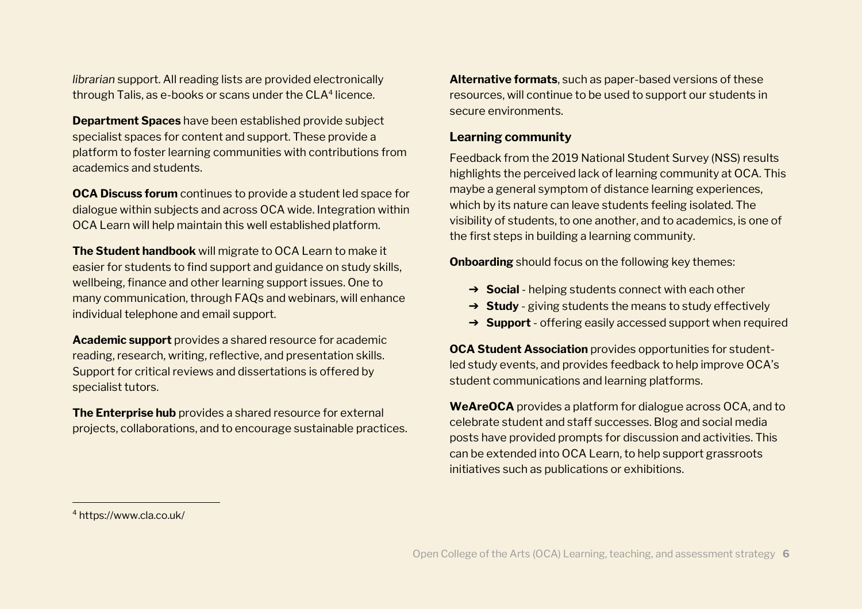*librarian* support. All reading lists are provided electronically  ${\rm th}$ rough Talis, as e-books or scans under  ${\rm the}\, {\rm CLA^4}$  licence.

**Department Spaces** have been established provide subject specialist spaces for content and support. These provide a platform to foster learning communities with contributions from academics and students.

**OCA Discuss forum** continues to provide a student led space for dialogue within subjects and across OCA wide. Integration within OCA Learn will help maintain this well established platform.

**The Student handbook** will migrate to OCA Learn to make it easier for students to find support and guidance on study skills, wellbeing, finance and other learning support issues. One to many communication, through FAQs and webinars, will enhance individual telephone and email support.

**Academic support** provides a shared resource for academic reading, research, writing, reflective, and presentation skills. Support for critical reviews and dissertations is offered by specialist tutors.

**The Enterprise hub** provides a shared resource for external projects, collaborations, and to encourage sustainable practices. **Alternative formats**, such as paper-based versions of these resources, will continue to be used to support our students in secure environments.

#### **Learning community**

Feedback from the 2019 National Student Survey (NSS) results highlights the perceived lack of learning community at OCA. This maybe a general symptom of distance learning experiences, which by its nature can leave students feeling isolated. The visibility of students, to one another, and to academics, is one of the first steps in building a learning community.

**Onboarding** should focus on the following key themes:

- ➔ **Social** helping students connect with each other
- ➔ **Study** giving students the means to study effectively
- ➔ **Support** offering easily accessed support when required

**OCA Student Association** provides opportunities for studentled study events, and provides feedback to help improve OCA's student communications and learning platforms.

**WeAreOCA** provides a platform for dialogue across OCA, and to celebrate student and staff successes. Blog and social media posts have provided prompts for discussion and activities. This can be extended into OCA Learn, to help support grassroots initiatives such as publications or exhibitions.

<sup>4</sup> https://www.cla.co.uk/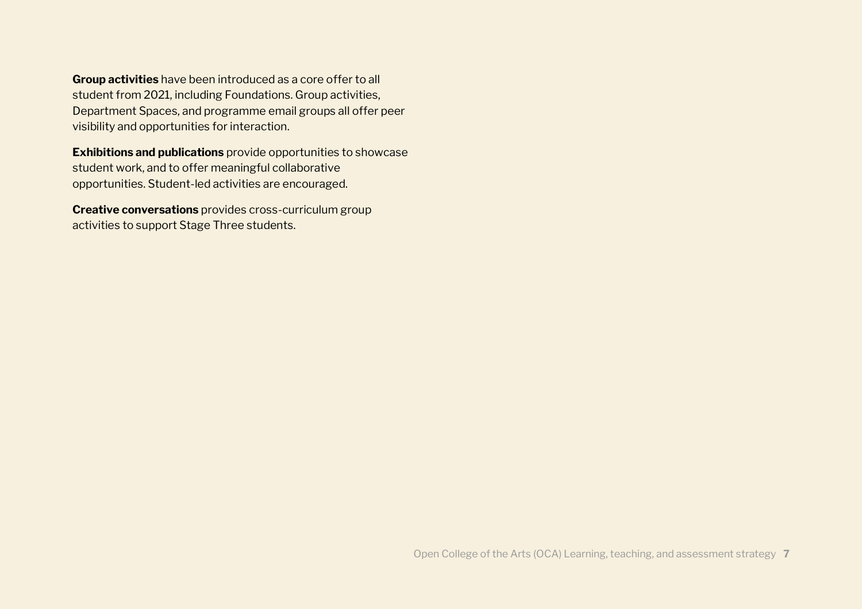**Group activities** have been introduced as a core offer to all student from 2021, including Foundations. Group activities, Department Spaces, and programme email groups all offer peer visibility and opportunities for interaction.

**Exhibitions and publications** provide opportunities to showcase student work, and to offer meaningful collaborative opportunities. Student-led activities are encouraged.

**Creative conversations** provides cross-curriculum group activities to support Stage Three students.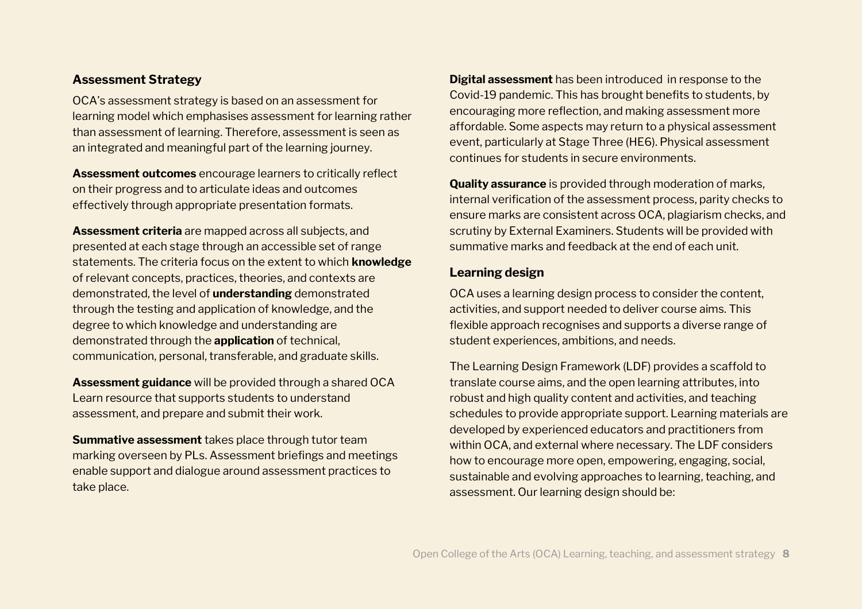#### **Assessment Strategy**

OCA's assessment strategy is based on an assessment for learning model which emphasises assessment for learning rather than assessment of learning. Therefore, assessment is seen as an integrated and meaningful part of the learning journey.

**Assessment outcomes** encourage learners to critically reflect on their progress and to articulate ideas and outcomes effectively through appropriate presentation formats.

**Assessment criteria** are mapped across all subjects, and presented at each stage through an accessible set of range statements. The criteria focus on the extent to which **knowledge**  of relevant concepts, practices, theories, and contexts are demonstrated, the level of **understanding** demonstrated through the testing and application of knowledge, and the degree to which knowledge and understanding are demonstrated through the **application** of technical, communication, personal, transferable, and graduate skills.

**Assessment guidance** will be provided through a shared OCA Learn resource that supports students to understand assessment, and prepare and submit their work.

**Summative assessment** takes place through tutor team marking overseen by PLs. Assessment briefings and meetings enable support and dialogue around assessment practices to take place.

**Digital assessment** has been introduced in response to the Covid-19 pandemic. This has brought benefits to students, by encouraging more reflection, and making assessment more affordable. Some aspects may return to a physical assessment event, particularly at Stage Three (HE6). Physical assessment continues for students in secure environments.

**Quality assurance** is provided through moderation of marks, internal verification of the assessment process, parity checks to ensure marks are consistent across OCA, plagiarism checks, and scrutiny by External Examiners. Students will be provided with summative marks and feedback at the end of each unit.

#### **Learning design**

OCA uses a learning design process to consider the content, activities, and support needed to deliver course aims. This flexible approach recognises and supports a diverse range of student experiences, ambitions, and needs.

The Learning Design Framework (LDF) provides a scaffold to translate course aims, and the open learning attributes, into robust and high quality content and activities, and teaching schedules to provide appropriate support. Learning materials are developed by experienced educators and practitioners from within OCA, and external where necessary. The LDF considers how to encourage more open, empowering, engaging, social, sustainable and evolving approaches to learning, teaching, and assessment. Our learning design should be: